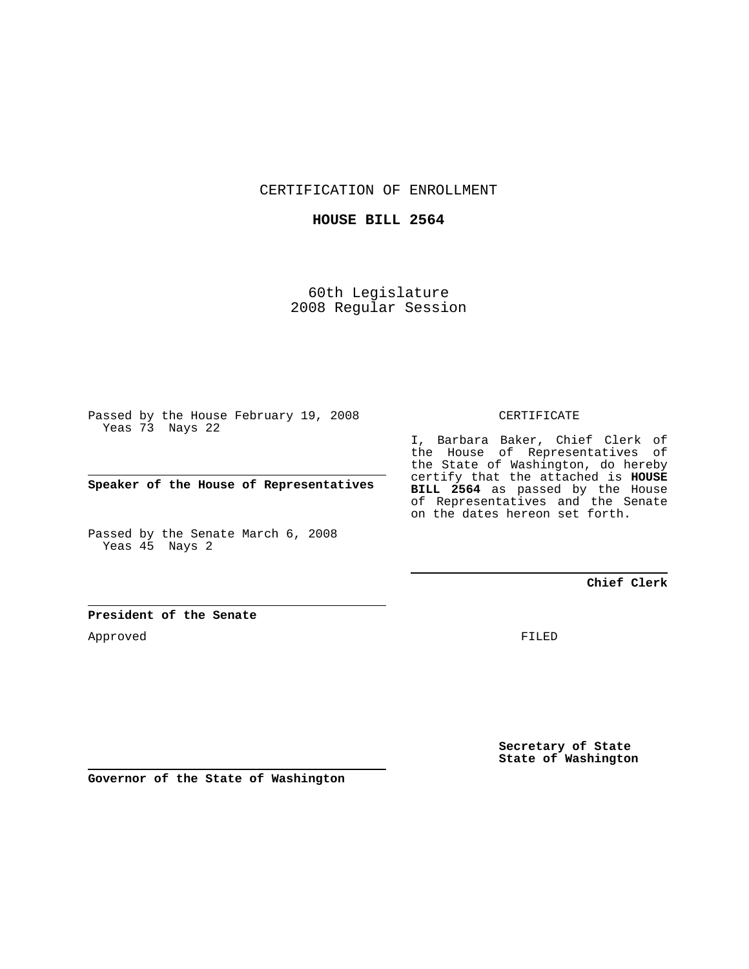CERTIFICATION OF ENROLLMENT

## **HOUSE BILL 2564**

60th Legislature 2008 Regular Session

Passed by the House February 19, 2008 Yeas 73 Nays 22

**Speaker of the House of Representatives**

Passed by the Senate March 6, 2008 Yeas 45 Nays 2

#### CERTIFICATE

I, Barbara Baker, Chief Clerk of the House of Representatives of the State of Washington, do hereby certify that the attached is **HOUSE BILL 2564** as passed by the House of Representatives and the Senate on the dates hereon set forth.

## **Chief Clerk**

#### **President of the Senate**

Approved

FILED

**Secretary of State State of Washington**

**Governor of the State of Washington**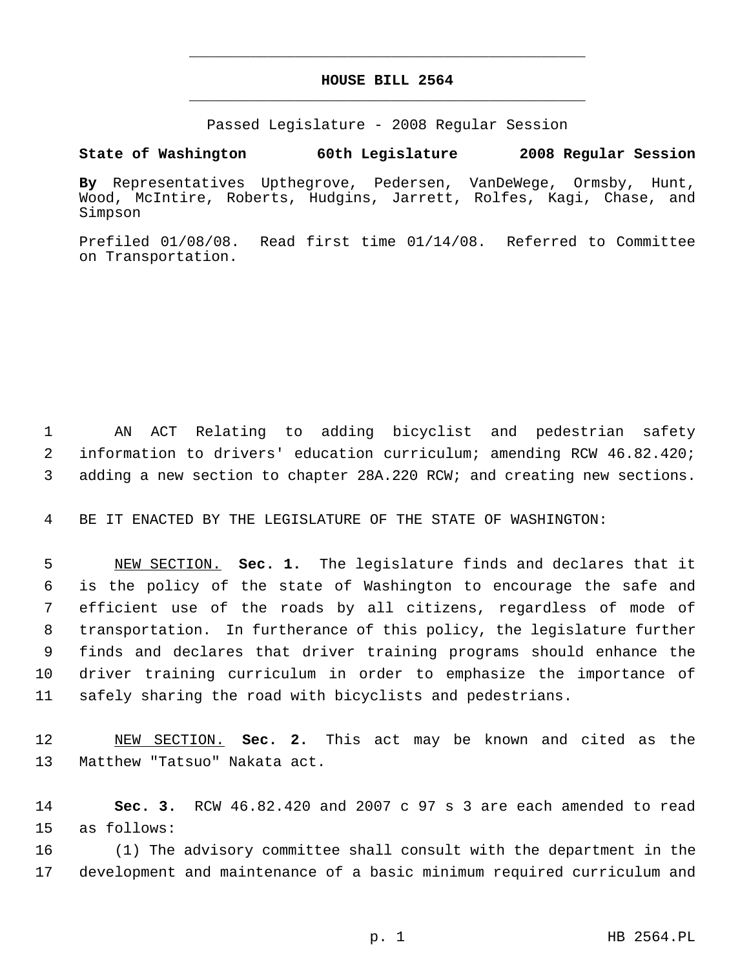# **HOUSE BILL 2564** \_\_\_\_\_\_\_\_\_\_\_\_\_\_\_\_\_\_\_\_\_\_\_\_\_\_\_\_\_\_\_\_\_\_\_\_\_\_\_\_\_\_\_\_\_

\_\_\_\_\_\_\_\_\_\_\_\_\_\_\_\_\_\_\_\_\_\_\_\_\_\_\_\_\_\_\_\_\_\_\_\_\_\_\_\_\_\_\_\_\_

Passed Legislature - 2008 Regular Session

## **State of Washington 60th Legislature 2008 Regular Session**

**By** Representatives Upthegrove, Pedersen, VanDeWege, Ormsby, Hunt, Wood, McIntire, Roberts, Hudgins, Jarrett, Rolfes, Kagi, Chase, and Simpson

Prefiled 01/08/08. Read first time 01/14/08. Referred to Committee on Transportation.

 AN ACT Relating to adding bicyclist and pedestrian safety information to drivers' education curriculum; amending RCW 46.82.420; adding a new section to chapter 28A.220 RCW; and creating new sections.

BE IT ENACTED BY THE LEGISLATURE OF THE STATE OF WASHINGTON:

 NEW SECTION. **Sec. 1.** The legislature finds and declares that it is the policy of the state of Washington to encourage the safe and efficient use of the roads by all citizens, regardless of mode of transportation. In furtherance of this policy, the legislature further finds and declares that driver training programs should enhance the driver training curriculum in order to emphasize the importance of safely sharing the road with bicyclists and pedestrians.

 NEW SECTION. **Sec. 2.** This act may be known and cited as the Matthew "Tatsuo" Nakata act.

 **Sec. 3.** RCW 46.82.420 and 2007 c 97 s 3 are each amended to read as follows:

 (1) The advisory committee shall consult with the department in the development and maintenance of a basic minimum required curriculum and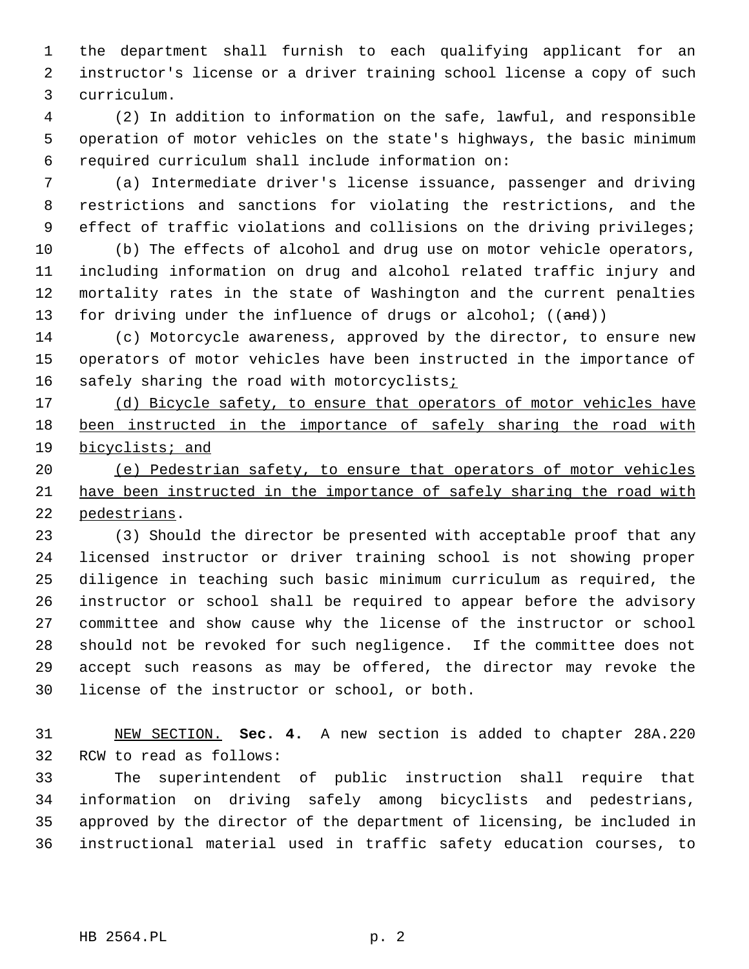the department shall furnish to each qualifying applicant for an instructor's license or a driver training school license a copy of such curriculum.

 (2) In addition to information on the safe, lawful, and responsible operation of motor vehicles on the state's highways, the basic minimum required curriculum shall include information on:

 (a) Intermediate driver's license issuance, passenger and driving restrictions and sanctions for violating the restrictions, and the effect of traffic violations and collisions on the driving privileges;

 (b) The effects of alcohol and drug use on motor vehicle operators, including information on drug and alcohol related traffic injury and mortality rates in the state of Washington and the current penalties 13 for driving under the influence of drugs or alcohol;  $((and))$ 

 (c) Motorcycle awareness, approved by the director, to ensure new operators of motor vehicles have been instructed in the importance of 16 safely sharing the road with motorcyclists;

17 (d) Bicycle safety, to ensure that operators of motor vehicles have 18 been instructed in the importance of safely sharing the road with bicyclists; and

 (e) Pedestrian safety, to ensure that operators of motor vehicles have been instructed in the importance of safely sharing the road with pedestrians.

 (3) Should the director be presented with acceptable proof that any licensed instructor or driver training school is not showing proper diligence in teaching such basic minimum curriculum as required, the instructor or school shall be required to appear before the advisory committee and show cause why the license of the instructor or school should not be revoked for such negligence. If the committee does not accept such reasons as may be offered, the director may revoke the license of the instructor or school, or both.

 NEW SECTION. **Sec. 4.** A new section is added to chapter 28A.220 RCW to read as follows:

 The superintendent of public instruction shall require that information on driving safely among bicyclists and pedestrians, approved by the director of the department of licensing, be included in instructional material used in traffic safety education courses, to